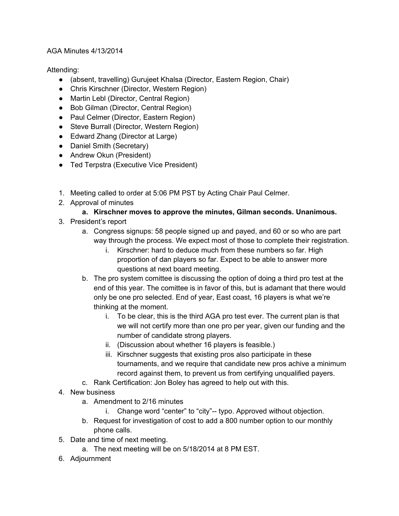## AGA Minutes 4/13/2014

Attending:

- (absent, travelling) Gurujeet Khalsa (Director, Eastern Region, Chair)
- Chris Kirschner (Director, Western Region)
- Martin Lebl (Director, Central Region)
- Bob Gilman (Director, Central Region)
- Paul Celmer (Director, Eastern Region)
- Steve Burrall (Director, Western Region)
- Edward Zhang (Director at Large)
- Daniel Smith (Secretary)
- Andrew Okun (President)
- Ted Terpstra (Executive Vice President)
- 1. Meeting called to order at 5:06 PM PST by Acting Chair Paul Celmer.
- 2. Approval of minutes

## **a. Kirschner moves to approve the minutes, Gilman seconds. Unanimous.**

- 3. President's report
	- a. Congress signups: 58 people signed up and payed, and 60 or so who are part way through the process. We expect most of those to complete their registration.
		- i. Kirschner: hard to deduce much from these numbers so far. High proportion of dan players so far. Expect to be able to answer more questions at next board meeting.
	- b. The pro system comittee is discussing the option of doing a third pro test at the end of this year. The comittee is in favor of this, but is adamant that there would only be one pro selected. End of year, East coast, 16 players is what we're thinking at the moment.
		- i. To be clear, this is the third AGA pro test ever. The current plan is that we will not certify more than one pro per year, given our funding and the number of candidate strong players.
		- ii. (Discussion about whether 16 players is feasible.)
		- iii. Kirschner suggests that existing pros also participate in these tournaments, and we require that candidate new pros achive a minimum record against them, to prevent us from certifying unqualified payers.
	- c. Rank Certification: Jon Boley has agreed to help out with this.
- 4. New business
	- a. Amendment to 2/16 minutes
		- i. Change word "center" to "city"-- typo. Approved without objection.
	- b. Request for investigation of cost to add a 800 number option to our monthly phone calls.
- 5. Date and time of next meeting.
	- a. The next meeting will be on 5/18/2014 at 8 PM EST.
- 6. Adjournment